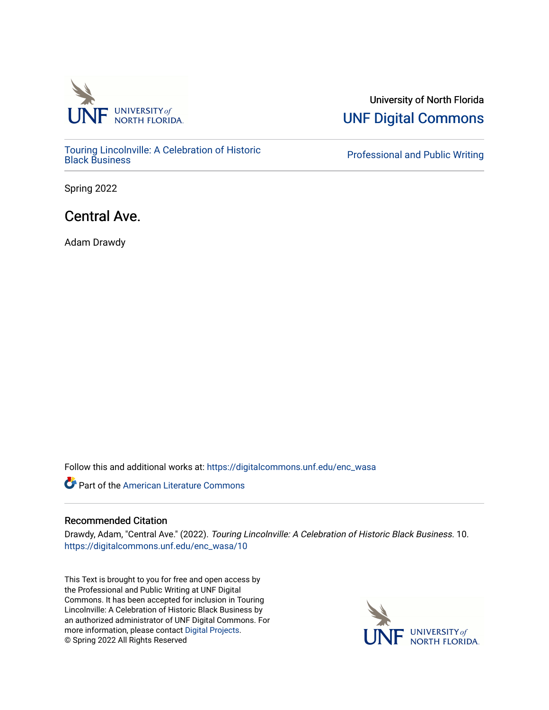

[Touring Lincolnville: A Celebration of Historic](https://digitalcommons.unf.edu/enc_wasa) 

University of North Florida [UNF Digital Commons](https://digitalcommons.unf.edu/) 

**Professional and Public Writing** 

Spring 2022

## Central Ave.

Adam Drawdy

Follow this and additional works at: [https://digitalcommons.unf.edu/enc\\_wasa](https://digitalcommons.unf.edu/enc_wasa?utm_source=digitalcommons.unf.edu%2Fenc_wasa%2F10&utm_medium=PDF&utm_campaign=PDFCoverPages) 

**C** Part of the [American Literature Commons](http://network.bepress.com/hgg/discipline/441?utm_source=digitalcommons.unf.edu%2Fenc_wasa%2F10&utm_medium=PDF&utm_campaign=PDFCoverPages)

## Recommended Citation

Drawdy, Adam, "Central Ave." (2022). Touring Lincolnville: A Celebration of Historic Black Business. 10. [https://digitalcommons.unf.edu/enc\\_wasa/10](https://digitalcommons.unf.edu/enc_wasa/10?utm_source=digitalcommons.unf.edu%2Fenc_wasa%2F10&utm_medium=PDF&utm_campaign=PDFCoverPages)

This Text is brought to you for free and open access by the Professional and Public Writing at UNF Digital Commons. It has been accepted for inclusion in Touring Lincolnville: A Celebration of Historic Black Business by an authorized administrator of UNF Digital Commons. For more information, please contact [Digital Projects](mailto:lib-digital@unf.edu). © Spring 2022 All Rights Reserved

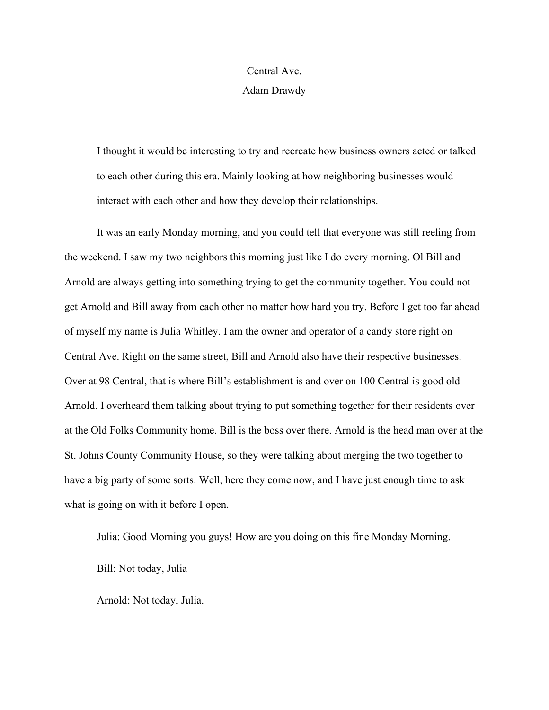## Central Ave.

Adam Drawdy

I thought it would be interesting to try and recreate how business owners acted or talked to each other during this era. Mainly looking at how neighboring businesses would interact with each other and how they develop their relationships.

It was an early Monday morning, and you could tell that everyone was still reeling from the weekend. I saw my two neighbors this morning just like I do every morning. Ol Bill and Arnold are always getting into something trying to get the community together. You could not get Arnold and Bill away from each other no matter how hard you try. Before I get too far ahead of myself my name is Julia Whitley. I am the owner and operator of a candy store right on Central Ave. Right on the same street, Bill and Arnold also have their respective businesses. Over at 98 Central, that is where Bill's establishment is and over on 100 Central is good old Arnold. I overheard them talking about trying to put something together for their residents over at the Old Folks Community home. Bill is the boss over there. Arnold is the head man over at the St. Johns County Community House, so they were talking about merging the two together to have a big party of some sorts. Well, here they come now, and I have just enough time to ask what is going on with it before I open.

Julia: Good Morning you guys! How are you doing on this fine Monday Morning. Bill: Not today, Julia

Arnold: Not today, Julia.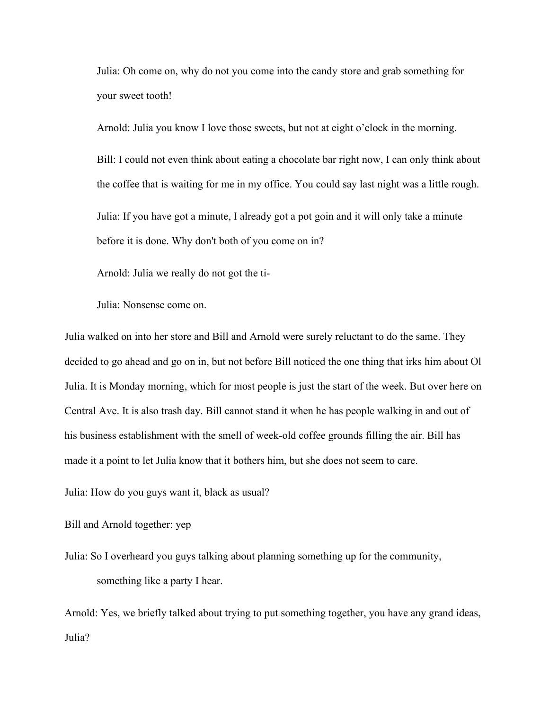Julia: Oh come on, why do not you come into the candy store and grab something for your sweet tooth!

Arnold: Julia you know I love those sweets, but not at eight o'clock in the morning.

Bill: I could not even think about eating a chocolate bar right now, I can only think about the coffee that is waiting for me in my office. You could say last night was a little rough.

Julia: If you have got a minute, I already got a pot goin and it will only take a minute before it is done. Why don't both of you come on in?

Arnold: Julia we really do not got the ti-

Julia: Nonsense come on.

Julia walked on into her store and Bill and Arnold were surely reluctant to do the same. They decided to go ahead and go on in, but not before Bill noticed the one thing that irks him about Ol Julia. It is Monday morning, which for most people is just the start of the week. But over here on Central Ave. It is also trash day. Bill cannot stand it when he has people walking in and out of his business establishment with the smell of week-old coffee grounds filling the air. Bill has made it a point to let Julia know that it bothers him, but she does not seem to care.

Julia: How do you guys want it, black as usual?

Bill and Arnold together: yep

Julia: So I overheard you guys talking about planning something up for the community, something like a party I hear.

Arnold: Yes, we briefly talked about trying to put something together, you have any grand ideas, Julia?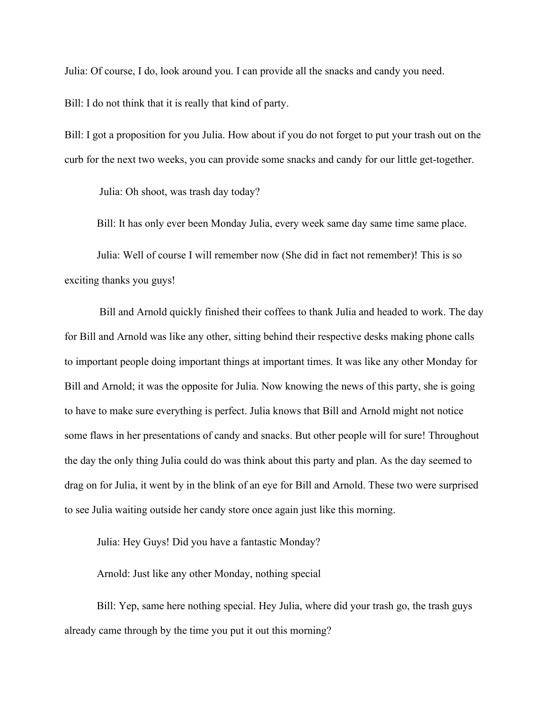Julia: Of course, I do, look around you. I can provide all the snacks and candy you need.

Bill: I do not think that it is really that kind of party.

Bill: I got a proposition for you Julia. How about if you do not forget to put your trash out on the curb for the next two weeks, you can provide some snacks and candy for our little get-together.

Julia: Oh shoot, was trash day today?

Bill: It has only ever been Monday Julia, every week same day same time same place.

Julia: Well of course I will remember now (She did in fact not remember)! This is so exciting thanks you guys!

Bill and Arnold quickly finished their coffees to thank Julia and headed to work. The day for Bill and Arnold was like any other, sitting behind their respective desks making phone calls to important people doing important things at important times. It was like any other Monday for Bill and Arnold; it was the opposite for Julia. Now knowing the news of this party, she is going to have to make sure everything is perfect. Julia knows that Bill and Arnold might not notice some flaws in her presentations of candy and snacks. But other people will for sure! Throughout the day the only thing Julia could do was think about this party and plan. As the day seemed to drag on for Julia, it went by in the blink of an eye for Bill and Arnold. These two were surprised to see Julia waiting outside her candy store once again just like this morning.

Julia: Hey Guys! Did you have a fantastic Monday?

Arnold: Just like any other Monday, nothing special

Bill: Yep, same here nothing special. Hey Julia, where did your trash go, the trash guys already came through by the time you put it out this morning?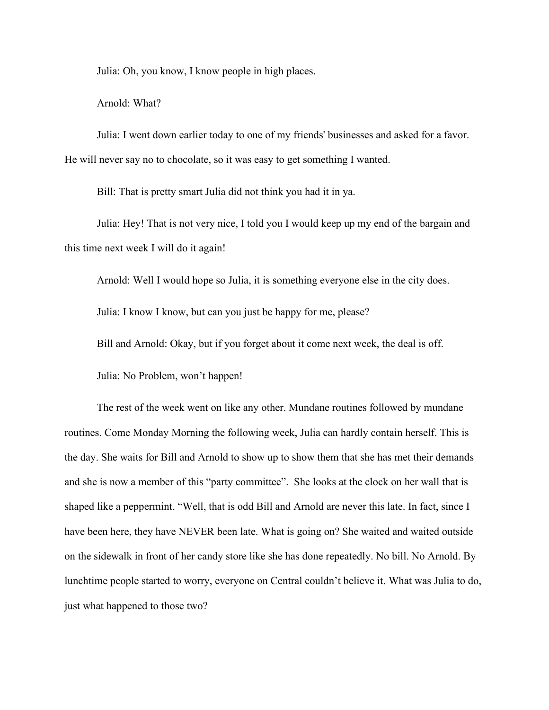Julia: Oh, you know, I know people in high places.

Arnold: What?

Julia: I went down earlier today to one of my friends' businesses and asked for a favor. He will never say no to chocolate, so it was easy to get something I wanted.

Bill: That is pretty smart Julia did not think you had it in ya.

Julia: Hey! That is not very nice, I told you I would keep up my end of the bargain and this time next week I will do it again!

Arnold: Well I would hope so Julia, it is something everyone else in the city does.

Julia: I know I know, but can you just be happy for me, please?

Bill and Arnold: Okay, but if you forget about it come next week, the deal is off.

Julia: No Problem, won't happen!

The rest of the week went on like any other. Mundane routines followed by mundane routines. Come Monday Morning the following week, Julia can hardly contain herself. This is the day. She waits for Bill and Arnold to show up to show them that she has met their demands and she is now a member of this "party committee". She looks at the clock on her wall that is shaped like a peppermint. "Well, that is odd Bill and Arnold are never this late. In fact, since I have been here, they have NEVER been late. What is going on? She waited and waited outside on the sidewalk in front of her candy store like she has done repeatedly. No bill. No Arnold. By lunchtime people started to worry, everyone on Central couldn't believe it. What was Julia to do, just what happened to those two?